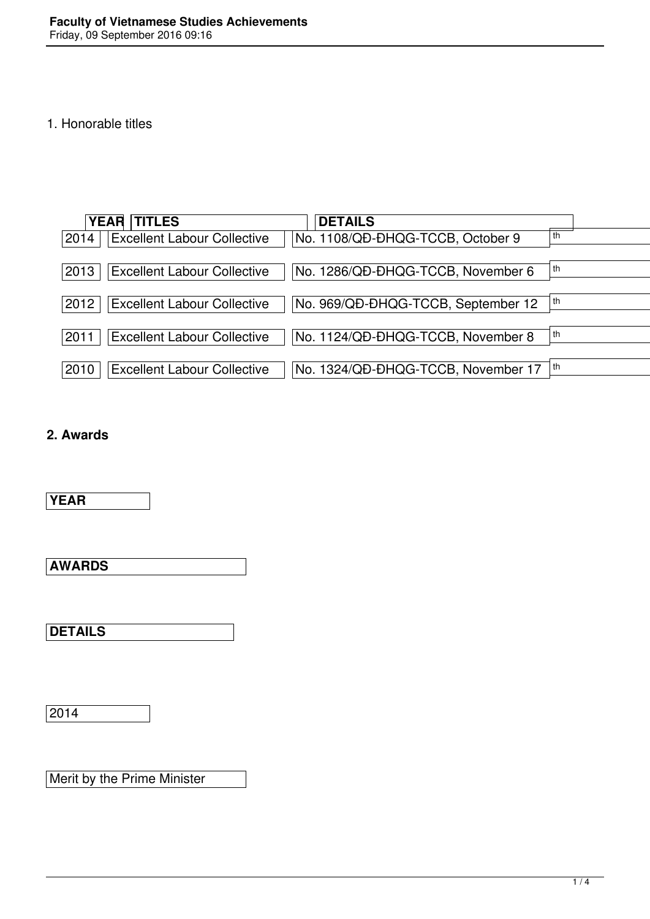## 1. Honorable titles

|      | <b>YEAR TITLES</b>                 | <b>DETAILS</b>                     |    |
|------|------------------------------------|------------------------------------|----|
| 2014 | <b>Excellent Labour Collective</b> | No. 1108/QD-DHQG-TCCB, October 9   |    |
| 2013 | <b>Excellent Labour Collective</b> | No. 1286/QD-DHQG-TCCB, November 6  |    |
| 2012 | <b>Excellent Labour Collective</b> | No. 969/QD-DHQG-TCCB, September 12 |    |
| 2011 | <b>Excellent Labour Collective</b> | No. 1124/QD-DHQG-TCCB, November 8  | th |
| 2010 | <b>Excellent Labour Collective</b> | No. 1324/QD-DHQG-TCCB, November 17 |    |

## **2. Awards**

**YEAR**

**AWARDS**

**DETAILS**

2014

Merit by the Prime Minister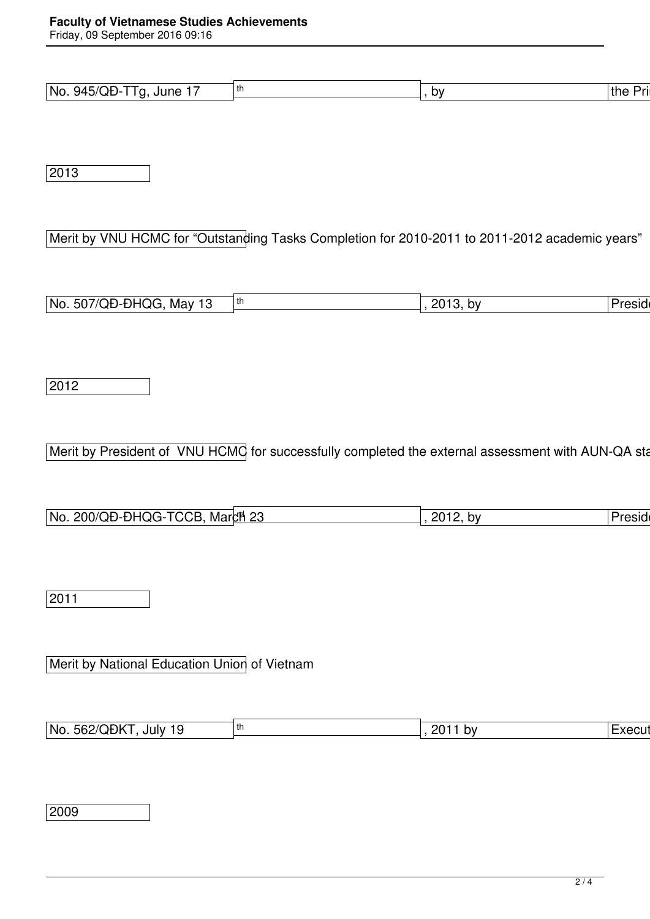Friday, 09 September 2016 09:16

| $945/QD -$<br>$-$<br>No.<br>June<br>ി<br>. . | b٧ | the<br>⊔r⊔ |
|----------------------------------------------|----|------------|

2013

Merit by VNU HCMC for "Outstanding Tasks Completion for 2010-2011 to 2011-2012 academic years"

| 'No.<br>507/QD-DHQG.<br>. Mav<br>. | th | ∍ ו∩ר<br>b۷<br>1 W.<br>- 9 | הוחמע<br>ישוכס |
|------------------------------------|----|----------------------------|----------------|

2012

Merit by President of VNU HCMC for successfully completed the external assessment with AUN-QA standards.

| 200/QD-DHQG-TCCB<br>March <sub>23</sub><br>l No. . | 2012.<br>b٧<br>– ∪ | Preside |
|----------------------------------------------------|--------------------|---------|

2011

Merit by National Education Union of Vietnam

| EGO/ODKT<br>'No.<br>201<br>i th<br><b>Execut</b><br>July<br>. DV<br>562/<br>.<br><b>UUN</b> |  |  |
|---------------------------------------------------------------------------------------------|--|--|
|                                                                                             |  |  |

2009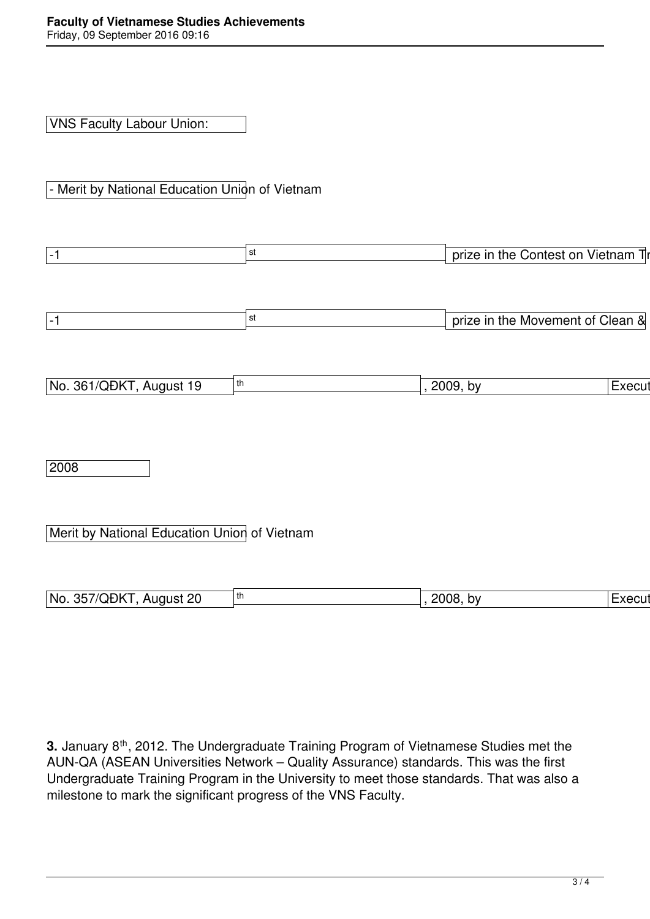VNS Faculty Labour Union:

- Merit by National Education Union of Vietnam

| $-1$                                         | st | prize in the Contest on Vietnam Tr |        |
|----------------------------------------------|----|------------------------------------|--------|
|                                              |    |                                    |        |
|                                              |    |                                    |        |
| $ -1 $                                       | st | prize in the Movement of Clean &   |        |
|                                              |    |                                    |        |
|                                              |    |                                    |        |
| No. 361/QĐKT, August 19<br>th                |    | 2009, by                           | Execut |
|                                              |    |                                    |        |
|                                              |    |                                    |        |
|                                              |    |                                    |        |
| 2008                                         |    |                                    |        |
|                                              |    |                                    |        |
|                                              |    |                                    |        |
| Merit by National Education Union of Vietnam |    |                                    |        |
|                                              |    |                                    |        |

No. 357/QĐKT, August 20 th , 2008, by Executive Committee of Committee of The National Executive Committee of Vietnam Committee of National Executive Committee of Vietnam Committee of Vietnam Committee of Vietnam Committee

| 3. January 8 <sup>th</sup> , 2012. The Undergraduate Training Program of Vietnamese Studies met the |
|-----------------------------------------------------------------------------------------------------|
| AUN-QA (ASEAN Universities Network – Quality Assurance) standards. This was the first               |
| Undergraduate Training Program in the University to meet those standards. That was also a           |
| milestone to mark the significant progress of the VNS Faculty.                                      |